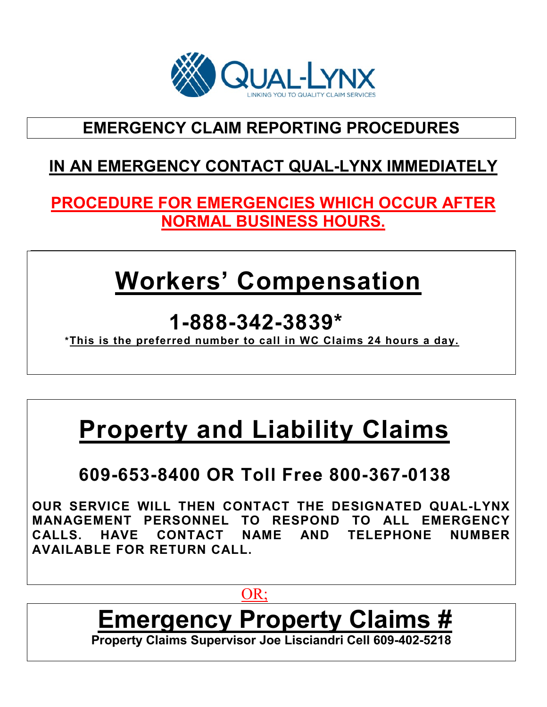

# **EMERGENCY CLAIM REPORTING PROCEDURES**

# **IN AN EMERGENCY CONTACT QUAL-LYNX IMMEDIATELY**

### **PROCEDURE FOR EMERGENCIES WHICH OCCUR AFTER NORMAL BUSINESS HOURS.**

# **Workers' Compensation**

 **1-888-342-3839\* \*This is the preferred number to call in WC Claims 24 hours a day.**

# **Property and Liability Claims**

# **609-653-8400 OR Toll Free 800-367-0138**

**OUR SERVICE WILL THEN CONTACT THE DESIGNATED QUAL-LYNX MANAGEMENT PERSONNEL TO RESPOND TO ALL EMERGENCY CALLS. HAVE CONTACT NAME AND TELEPHONE NUMBER AVAILABLE FOR RETURN CALL.**

### or and the contract of the contract of the contract of the contract of the contract of the contract of the contract of the contract of the contract of the contract of the contract of the contract of the contract of the con

# **Emergency Property Claims # Property Claims Supervisor Joe Lisciandri Cell 609-402-5218**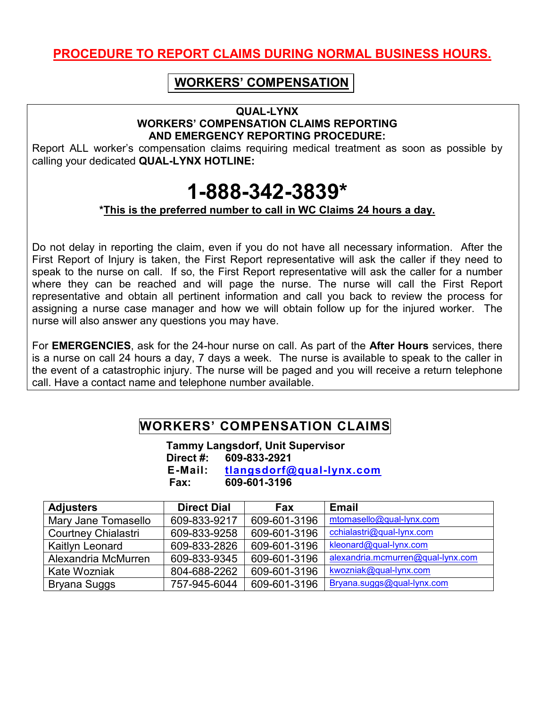### **PROCEDURE TO REPORT CLAIMS DURING NORMAL BUSINESS HOURS.**

#### **WORKERS' COMPENSATION**

#### **QUAL-LYNX WORKERS' COMPENSATION CLAIMS REPORTING AND EMERGENCY REPORTING PROCEDURE:**

Report ALL worker's compensation claims requiring medical treatment as soon as possible by calling your dedicated **QUAL-LYNX HOTLINE:**

# **1-888-342-3839\***

#### **\*This is the preferred number to call in WC Claims 24 hours a day.**

Do not delay in reporting the claim, even if you do not have all necessary information. After the First Report of Injury is taken, the First Report representative will ask the caller if they need to speak to the nurse on call. If so, the First Report representative will ask the caller for a number where they can be reached and will page the nurse. The nurse will call the First Report representative and obtain all pertinent information and call you back to review the process for assigning a nurse case manager and how we will obtain follow up for the injured worker. The nurse will also answer any questions you may have.

For **EMERGENCIES**, ask for the 24-hour nurse on call. As part of the **After Hours** services, there is a nurse on call 24 hours a day, 7 days a week. The nurse is available to speak to the caller in the event of a catastrophic injury. The nurse will be paged and you will receive a return telephone call. Have a contact name and telephone number available.

#### **WORKERS' COMPENSATION CLAIMS**

 **Tammy Langsdorf, Unit Supervisor Direct #: 609-833-2921 E-Mail: [tlangsdorf@qual-lynx.com](mailto:tlangsdorf@qual-lynx.com) Fax: 609-601-3196**

| <b>Adjusters</b>           | <b>Direct Dial</b> | <b>Fax</b>   | <b>Email</b>                      |
|----------------------------|--------------------|--------------|-----------------------------------|
| Mary Jane Tomasello        | 609-833-9217       | 609-601-3196 | mtomasello@qual-lynx.com          |
| <b>Courtney Chialastri</b> | 609-833-9258       | 609-601-3196 | cchialastri@qual-lynx.com         |
| <b>Kaitlyn Leonard</b>     | 609-833-2826       | 609-601-3196 | kleonard@qual-lynx.com            |
| Alexandria McMurren        | 609-833-9345       | 609-601-3196 | alexandria.mcmurren@qual-lynx.com |
| Kate Wozniak               | 804-688-2262       | 609-601-3196 | kwozniak@qual-lynx.com            |
| Bryana Suggs               | 757-945-6044       | 609-601-3196 | Bryana.suggs@qual-lynx.com        |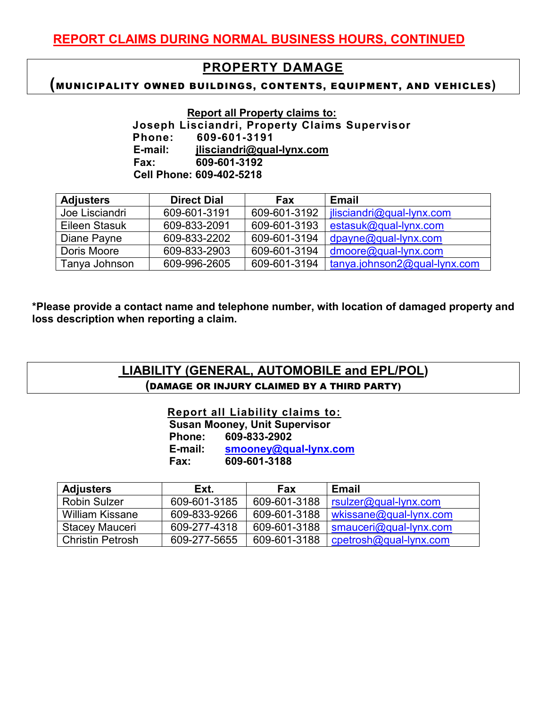#### **PROPERTY DAMAGE**

#### **(**MUNICIPALITY OWNED BUILDINGS, CONTENTS, EQUIPMENT, AND VEHICLES**)**

 **Report all Property claims to:** 

 **Joseph Lisciandri, Property Claims Supervisor Phone: 609-601-3191 E-mail: [jlisciandri@qual-lynx.com](mailto:jlisciandri@qual-lynx.com) Fax: 609-601-3192 Cell Phone: 609-402-5218**

| <b>Adjusters</b>     | <b>Direct Dial</b> | <b>Fax</b>   | <b>Email</b>                        |
|----------------------|--------------------|--------------|-------------------------------------|
| Joe Lisciandri       | 609-601-3191       | 609-601-3192 | jlisciandri@qual-lynx.com           |
| <b>Eileen Stasuk</b> | 609-833-2091       | 609-601-3193 | estasuk@qual-lynx.com               |
| Diane Payne          | 609-833-2202       | 609-601-3194 | $dpayne@qual-lynx.com$              |
| Doris Moore          | 609-833-2903       | 609-601-3194 | $dmoore@qual-lynx.com$              |
| Tanya Johnson        | 609-996-2605       | 609-601-3194 | $tanya$ .johnson $2@$ qual-lynx.com |

**\*Please provide a contact name and telephone number, with location of damaged property and loss description when reporting a claim.**

|  |                                             | LIABILITY (GENERAL, AUTOMOBILE and EPL/POL) |
|--|---------------------------------------------|---------------------------------------------|
|  | (DAMAGE OR INJURY CLAIMED BY A THIRD PARTY) |                                             |

 **Report all Liability claims to: Susan Mooney, Unit Supervisor Phone: 609-833-2902 E-mail: [smooney@qual-lynx.com](mailto:smooney@qual-lynx.com) Fax: 609-601-3188**

| <b>Adjusters</b>        | Ext.         | <b>Fax</b>   | Email                     |
|-------------------------|--------------|--------------|---------------------------|
| <b>Robin Sulzer</b>     | 609-601-3185 | 609-601-3188 | $rsulzer@qual-lynx.com$   |
| William Kissane         | 609-833-9266 | 609-601-3188 | $w$ kissane@qual-lynx.com |
| <b>Stacey Mauceri</b>   | 609-277-4318 | 609-601-3188 | $smauceri@qual-lynx.com$  |
| <b>Christin Petrosh</b> | 609-277-5655 | 609-601-3188 | cpetrosh@qual-lynx.com    |